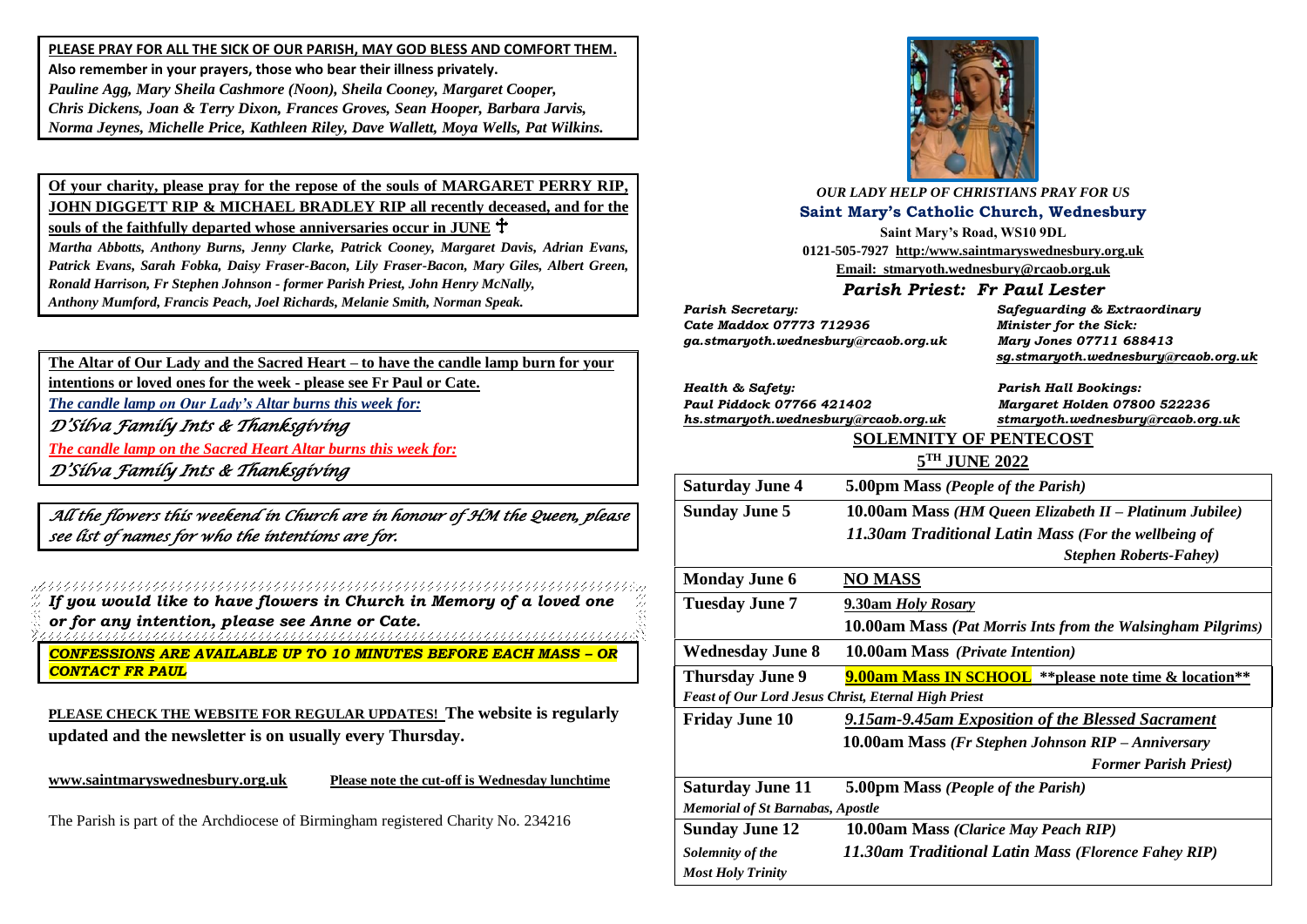**PLEASE PRAY FOR ALL THE SICK OF OUR PARISH, MAY GOD BLESS AND COMFORT THEM. Also remember in your prayers, those who bear their illness privately.** *Pauline Agg, Mary Sheila Cashmore (Noon), Sheila Cooney, Margaret Cooper, Chris Dickens, Joan & Terry Dixon, Frances Groves, Sean Hooper, Barbara Jarvis, Norma Jeynes, Michelle Price, Kathleen Riley, Dave Wallett, Moya Wells, Pat Wilkins.*

**Of your charity, please pray for the repose of the souls of MARGARET PERRY RIP, JOHN DIGGETT RIP & MICHAEL BRADLEY RIP all recently deceased, and for the souls of the faithfully departed whose anniversaries occur in JUNE**

*Martha Abbotts, Anthony Burns, Jenny Clarke, Patrick Cooney, Margaret Davis, Adrian Evans, Patrick Evans, Sarah Fobka, Daisy Fraser-Bacon, Lily Fraser-Bacon, Mary Giles, Albert Green, Ronald Harrison, Fr Stephen Johnson - former Parish Priest, John Henry McNally, Anthony Mumford, Francis Peach, Joel Richards, Melanie Smith, Norman Speak.* 

**The Altar of Our Lady and the Sacred Heart – to have the candle lamp burn for your intentions or loved ones for the week - please see Fr Paul or Cate.** *The candle lamp on Our Lady's Altar burns this week for: <sup>D</sup>'Silva Family Ints & Thanksgiving The candle lamp on the Sacred Heart Altar burns this week for:*

*<sup>D</sup>'Silva Family Ints & Thanksgiving* 

*All the flowers this weekend in Church are in honour of HM the Queen, please see list of names for who the intentions are for.* 

*If you would like to have flowers in Church in Memory of a loved one or for any intention, please see Anne or Cate.*

*CONFESSIONS ARE AVAILABLE UP TO 10 MINUTES BEFORE EACH MASS – OR CONTACT FR PAUL*

**PLEASE CHECK THE WEBSITE FOR REGULAR UPDATES! The website is regularly updated and the newsletter is on usually every Thursday.** 

**[www.saintmaryswednesbury.org.uk](http://www.saintmaryswednesbury.org.uk/) Please note the cut-off is Wednesday lunchtime**

*Most Holy Trinity*

The Parish is part of the Archdiocese of Birmingham registered Charity No. 234216



| <b>OUR LADY HELP OF CHRISTIANS PRAY FOR US</b>               |                                                                |                                                             |  |
|--------------------------------------------------------------|----------------------------------------------------------------|-------------------------------------------------------------|--|
| <b>Saint Mary's Catholic Church, Wednesbury</b>              |                                                                |                                                             |  |
| Saint Mary's Road, WS10 9DL                                  |                                                                |                                                             |  |
| 0121-505-7927 http:/www.saintmaryswednesbury.org.uk          |                                                                |                                                             |  |
|                                                              | Email: stmaryoth.wednesbury@rcaob.org.uk                       |                                                             |  |
| Parish Priest: Fr Paul Lester                                |                                                                |                                                             |  |
| <b>Parish Secretary:</b>                                     |                                                                | Safeguarding & Extraordinary                                |  |
| Cate Maddox 07773 712936                                     |                                                                | Minister for the Sick:                                      |  |
| ga.stmaryoth.wednesbury@rcaob.org.uk                         |                                                                | Mary Jones 07711 688413                                     |  |
|                                                              |                                                                | sg.stmaryoth.wednesbury@rcaob.org.uk                        |  |
| Health & Safety:                                             |                                                                | <b>Parish Hall Bookings:</b>                                |  |
| Paul Piddock 07766 421402                                    |                                                                | Margaret Holden 07800 522236                                |  |
| hs.stmaryoth.wednesbury@rcaob.org.uk                         |                                                                | stmaryoth.wednesbury@rcaob.org.uk                           |  |
|                                                              | <b>SOLEMNITY OF PENTECOST</b>                                  |                                                             |  |
|                                                              | 5TH JUNE 2022                                                  |                                                             |  |
| <b>Saturday June 4</b><br>5.00pm Mass (People of the Parish) |                                                                |                                                             |  |
| <b>Sunday June 5</b>                                         | 10.00am Mass (HM Queen Elizabeth II - Platinum Jubilee)        |                                                             |  |
|                                                              | 11.30am Traditional Latin Mass (For the wellbeing of           |                                                             |  |
|                                                              |                                                                | <b>Stephen Roberts-Fahey</b> )                              |  |
| <b>Monday June 6</b>                                         | <b>NO MASS</b>                                                 |                                                             |  |
| <b>Tuesday June 7</b>                                        | 9.30am Holy Rosary                                             |                                                             |  |
|                                                              |                                                                | 10.00am Mass (Pat Morris Ints from the Walsingham Pilgrims) |  |
| <b>Wednesday June 8</b>                                      | 10.00am Mass (Private Intention)                               |                                                             |  |
| <b>Thursday June 9</b>                                       | <b>9.00am Mass IN SCHOOL</b> ** please note time & location ** |                                                             |  |
| Feast of Our Lord Jesus Christ, Eternal High Priest          |                                                                |                                                             |  |
| <b>Friday June 10</b>                                        |                                                                | 9.15am-9.45am Exposition of the Blessed Sacrament           |  |
|                                                              |                                                                | 10.00am Mass (Fr Stephen Johnson RIP - Anniversary          |  |
|                                                              |                                                                | <b>Former Parish Priest)</b>                                |  |
| <b>Saturday June 11</b>                                      | 5.00pm Mass (People of the Parish)                             |                                                             |  |
| <b>Memorial of St Barnabas, Apostle</b>                      |                                                                |                                                             |  |
| <b>Sunday June 12</b>                                        | 10.00am Mass (Clarice May Peach RIP)                           |                                                             |  |
| Solemnity of the                                             | 11.30am Traditional Latin Mass (Florence Fahey RIP)            |                                                             |  |